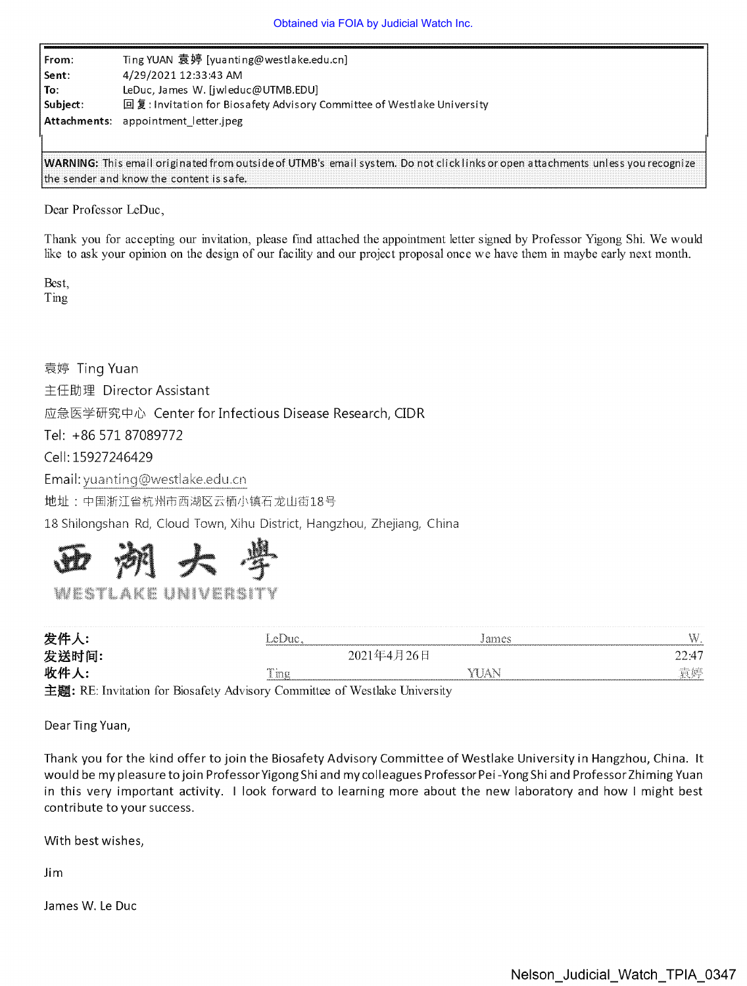| From:    | Ting YUAN 袁婷 [yuanting@westlake.edu.cn]                                |  |  |
|----------|------------------------------------------------------------------------|--|--|
| Sent:    | 4/29/2021 12:33:43 AM                                                  |  |  |
| To:      | LeDuc, James W. [jwleduc@UTMB.EDU]                                     |  |  |
| Subject: | 回复: Invitation for Biosafety Advisory Committee of Westlake University |  |  |
|          | Attachments: appointment letter.jpeg                                   |  |  |

WARNING: This email originated from outside of UTMB's email system. Do not click links or open attachments unless you recognize the sender and know the content is safe.

Dear Professor LeDuc,

Thank you for accepting our invitation, please fmd attached the appointment letter signed by Professor Yigong Shi. We would like to ask your opinion on the design of our facility and our project proposal once we have them in maybe early next month.

Best, Ting

袁婷 Ting Yuan 主任助理 Director Assistant 应急医学研究中心 Center for Infectious Disease Research, CIDR Tel: +86 571 87089772 Cell: 15927246429 Email: yuanting@westlake.edu.cn 地址: 中国浙江省杭州市西湖区云栖小镇石龙山街18号 18 Shilongshan Rd, Cloud Town, Xihu District, Hangzhou, Zhejiang, China



westlake university

| 发件                                                                                                            |             |        |
|---------------------------------------------------------------------------------------------------------------|-------------|--------|
| 发送                                                                                                            |             | ______ |
| 收件                                                                                                            | 19.5<br>រពរ | 袁婷     |
| and a latter.<br>$\mathbf{m}$ $\mathbf{r}$ $\mathbf{r}$ $\mathbf{r}$ $\mathbf{r}$ $\mathbf{r}$<br>$\sim$<br>. | $\sim$<br>. |        |

主题: RE: Invitation for Biosafety Advisory Committee of Westlake University

Dear Ting Yuan,

Thank you for the kind offer to join the Biosafety Advisory Committee of Westlake University in Hangzhou, China. It would be my pleasure to join Professor Yigong Shi and my colleagues Professor Pei-Yong Shi and Professor Zhiming Yuan in this very important activity. I look forward to learning more about the new laboratory and how I might best contribute to your success.

With best wishes,

Jim

James W. le Due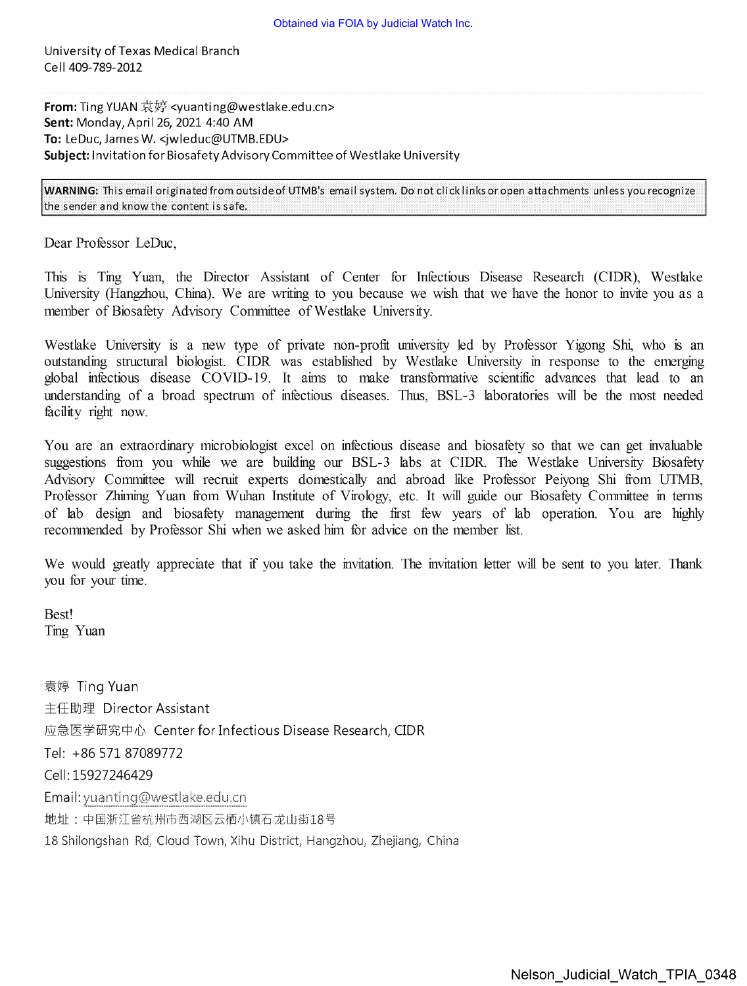University of Texas Medical Branch Ce II 409-789-2012

**From:** Ting YUAN 袁婷 <yuanting@westlake.edu.cn> **Sent:** Monday, April26, 2021 4:40AM **To:** LeDuc, James W. <jwleduc@UTMB.EDU> **Subject:** Invitation for Biosafety Advisory Committee of Westlake University

**WARNING:** This email originated from outside of UTMB's email system. Do not click links or open attachments unless you recognize the sender and know the content is safe.

Dear Professor LeDuc,

This is Ting Yuan, the Director Assistant of Center for Infectious Disease Research (CIDR), Westlake University (Hangzhou, China). We are writing to you because we wish that we have the honor to invite you as a member of Biosafety Advisory Committee of Westlake University.

Westlake University is a new type of private non-profit university led by Professor Yigong Shi, who is an outstanding structural biologist. CIDR was established by Westlake University in response to the emerging global infectious disease COVID-19. It aims to make transformative scientific advances that lead to an understanding of a broad spectrum of infectious diseases. Thus, BSL-3 laboratories will be the most needed facility right now.

You are an extraordinary microbiologist excel on infectious disease and biosafety so that we can get invaluable suggestions from you while we are building our BSL-3 labs at CIDR. The Westlake University Biosafety Advisory Committee will recruit experts domestically and abroad like Professor Peiyong Shi from UTMB, Professor Zhiming Yuan from Wuhan Institute of Virology, etc. It will guide our Biosafety Committee in terms of lab design and biosafety management during the first few years of lab operation. You are highly recommended by Professor Shi when we asked him for advice on the member list.

We would greatly appreciate that if you take the invitation. The invitation letter will be sent to you later. Thank you for your time.

Best! Ting Yuan

袁婷 Ting Yuan ±1f.§J:LE~ Director Assistant 应急医学研究中心 Center for Infectious Disease Research, CIDR Tel: +86 571 87089772 Cell: 15927246429 Email: yuanting@westlake.edu.cn 进址: 中国浙江省杭州市西湖区云栖小镇石龙山街18号 18 Shilongshan Rd, Cloud Town, Xihu District, Hangzhou, Zhejiang, China